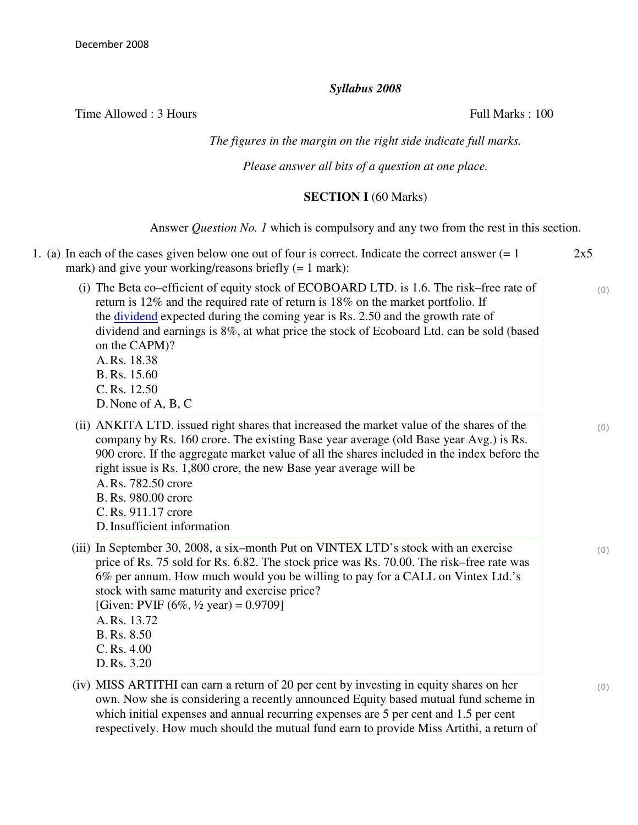## *Syllabus 2008*

Time Allowed : 3 Hours Full Marks : 100

## *The figures in the margin on the right side indicate full marks.*

*Please answer all bits of a question at one place.*

## **SECTION I** (60 Marks)

Answer *Question No. 1* which is compulsory and any two from the rest in this section.

| 1. (a) In each of the cases given below one out of four is correct. Indicate the correct answer $(= 1$<br>mark) and give your working/reasons briefly $(= 1 \text{ mark})$ :                                                                                                                                                                                                                                                                              | 2x5 |
|-----------------------------------------------------------------------------------------------------------------------------------------------------------------------------------------------------------------------------------------------------------------------------------------------------------------------------------------------------------------------------------------------------------------------------------------------------------|-----|
| (i) The Beta co-efficient of equity stock of ECOBOARD LTD. is 1.6. The risk–free rate of<br>return is 12% and the required rate of return is 18% on the market portfolio. If<br>the <u>dividend</u> expected during the coming year is Rs. 2.50 and the growth rate of<br>dividend and earnings is 8%, at what price the stock of Ecoboard Ltd. can be sold (based<br>on the CAPM)?<br>A.Rs. 18.38<br>B. Rs. 15.60<br>C. Rs. 12.50<br>D. None of A, B, C  | (0) |
| (ii) ANKITA LTD. issued right shares that increased the market value of the shares of the<br>company by Rs. 160 crore. The existing Base year average (old Base year Avg.) is Rs.<br>900 crore. If the aggregate market value of all the shares included in the index before the<br>right issue is Rs. 1,800 crore, the new Base year average will be<br>A. Rs. 782.50 crore<br>B. Rs. 980.00 crore<br>C. Rs. 911.17 crore<br>D. Insufficient information | (0) |
| (iii) In September 30, 2008, a six-month Put on VINTEX LTD's stock with an exercise<br>price of Rs. 75 sold for Rs. 6.82. The stock price was Rs. 70.00. The risk–free rate was<br>6% per annum. How much would you be willing to pay for a CALL on Vintex Ltd.'s<br>stock with same maturity and exercise price?<br>[Given: PVIF $(6\%, \frac{1}{2} \text{ year}) = 0.9709$ ]<br>A.Rs. 13.72<br>B. Rs. 8.50<br>$C.$ Rs. $4.00$<br>D.Rs. 3.20             | (0) |
| (iv) MISS ARTITHI can earn a return of 20 per cent by investing in equity shares on her<br>own. Now she is considering a recently announced Equity based mutual fund scheme in<br>which initial expenses and annual recurring expenses are 5 per cent and 1.5 per cent<br>respectively. How much should the mutual fund earn to provide Miss Artithi, a return of                                                                                         | (0) |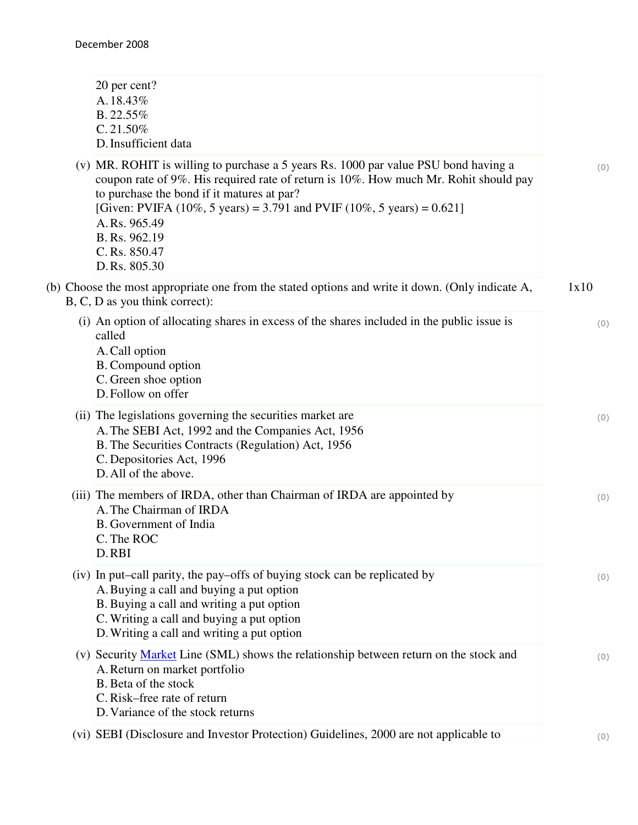| 20 per cent?<br>A.18.43%<br>B.22.55%<br>C.21.50%<br>D. Insufficient data                                                                                                                                                                                                                                                                                             |      |
|----------------------------------------------------------------------------------------------------------------------------------------------------------------------------------------------------------------------------------------------------------------------------------------------------------------------------------------------------------------------|------|
| (v) MR. ROHIT is willing to purchase a 5 years Rs. 1000 par value PSU bond having a<br>coupon rate of 9%. His required rate of return is 10%. How much Mr. Rohit should pay<br>to purchase the bond if it matures at par?<br>[Given: PVIFA (10%, 5 years) = 3.791 and PVIF (10%, 5 years) = 0.621]<br>A.Rs. 965.49<br>B. Rs. 962.19<br>C. Rs. 850.47<br>D.Rs. 805.30 | (0)  |
| (b) Choose the most appropriate one from the stated options and write it down. (Only indicate A,<br>B, C, D as you think correct):                                                                                                                                                                                                                                   | 1x10 |
| (i) An option of allocating shares in excess of the shares included in the public issue is<br>called<br>A. Call option<br>B. Compound option<br>C. Green shoe option<br>D. Follow on offer                                                                                                                                                                           | (0)  |
| (ii) The legislations governing the securities market are<br>A. The SEBI Act, 1992 and the Companies Act, 1956<br>B. The Securities Contracts (Regulation) Act, 1956<br>C. Depositories Act, 1996<br>D. All of the above.                                                                                                                                            | (0)  |
| (iii) The members of IRDA, other than Chairman of IRDA are appointed by<br>A. The Chairman of IRDA<br>B. Government of India<br>C. The ROC<br>D.RBI                                                                                                                                                                                                                  | (0)  |
| (iv) In put–call parity, the pay–offs of buying stock can be replicated by<br>A. Buying a call and buying a put option<br>B. Buying a call and writing a put option<br>C. Writing a call and buying a put option<br>D. Writing a call and writing a put option                                                                                                       | (0)  |
| (v) Security Market Line (SML) shows the relationship between return on the stock and<br>A. Return on market portfolio<br>B. Beta of the stock<br>C. Risk-free rate of return<br>D. Variance of the stock returns                                                                                                                                                    | (0)  |
| (vi) SEBI (Disclosure and Investor Protection) Guidelines, 2000 are not applicable to                                                                                                                                                                                                                                                                                | (0)  |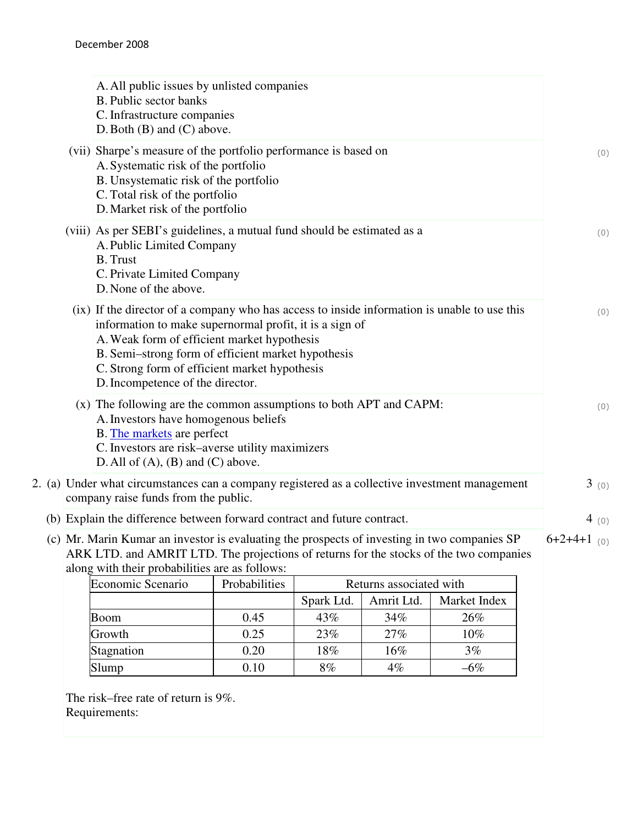|                                                                                                                                                                                                                                          | A. All public issues by unlisted companies<br><b>B.</b> Public sector banks<br>C. Infrastructure companies<br>$D.$ Both $(B)$ and $(C)$ above.                                                                                                    |               |                                                                                                |       |
|------------------------------------------------------------------------------------------------------------------------------------------------------------------------------------------------------------------------------------------|---------------------------------------------------------------------------------------------------------------------------------------------------------------------------------------------------------------------------------------------------|---------------|------------------------------------------------------------------------------------------------|-------|
|                                                                                                                                                                                                                                          | (vii) Sharpe's measure of the portfolio performance is based on<br>A. Systematic risk of the portfolio<br>B. Unsystematic risk of the portfolio<br>C. Total risk of the portfolio<br>D. Market risk of the portfolio                              |               |                                                                                                | (0)   |
|                                                                                                                                                                                                                                          | A. Public Limited Company<br><b>B.</b> Trust<br>C. Private Limited Company<br>D. None of the above.                                                                                                                                               |               | (viii) As per SEBI's guidelines, a mutual fund should be estimated as a                        | (0)   |
|                                                                                                                                                                                                                                          | information to make supernormal profit, it is a sign of<br>A. Weak form of efficient market hypothesis<br>B. Semi-strong form of efficient market hypothesis<br>C. Strong form of efficient market hypothesis<br>D. Incompetence of the director. |               | (ix) If the director of a company who has access to inside information is unable to use this   | (0)   |
|                                                                                                                                                                                                                                          | A. Investors have homogenous beliefs<br>B. The markets are perfect<br>C. Investors are risk-averse utility maximizers<br>D. All of $(A)$ , $(B)$ and $(C)$ above.                                                                                 |               | (x) The following are the common assumptions to both APT and CAPM:                             | (0)   |
|                                                                                                                                                                                                                                          | company raise funds from the public.                                                                                                                                                                                                              |               | 2. (a) Under what circumstances can a company registered as a collective investment management | 3(0)  |
|                                                                                                                                                                                                                                          | (b) Explain the difference between forward contract and future contract.                                                                                                                                                                          |               |                                                                                                | 4 (0) |
| (c) Mr. Marin Kumar an investor is evaluating the prospects of investing in two companies SP<br>ARK LTD. and AMRIT LTD. The projections of returns for the stocks of the two companies<br>along with their probabilities are as follows: |                                                                                                                                                                                                                                                   |               |                                                                                                |       |
|                                                                                                                                                                                                                                          | Economic Scenario                                                                                                                                                                                                                                 | Probabilities | Returns associated with                                                                        |       |
|                                                                                                                                                                                                                                          |                                                                                                                                                                                                                                                   |               | $\Gamma$ Cnork I td $\Gamma$ A muit I td $\Gamma$ Morket Index                                 |       |

| Economic Scenario | <b>Probabilities</b> | Returns associated with |            |              |
|-------------------|----------------------|-------------------------|------------|--------------|
|                   |                      | Spark Ltd.              | Amrit Ltd. | Market Index |
| <b>Boom</b>       | 0.45                 | 43%                     | 34%        | 26%          |
| Growth            | 0.25                 | 23%                     | 27%        | 10%          |
| Stagnation        | 0.20                 | 18%                     | 16%        | 3%           |
| Slump             | 0.10                 | 8%                      | $4\%$      | $-6\%$       |

The risk–free rate of return is 9%. Requirements: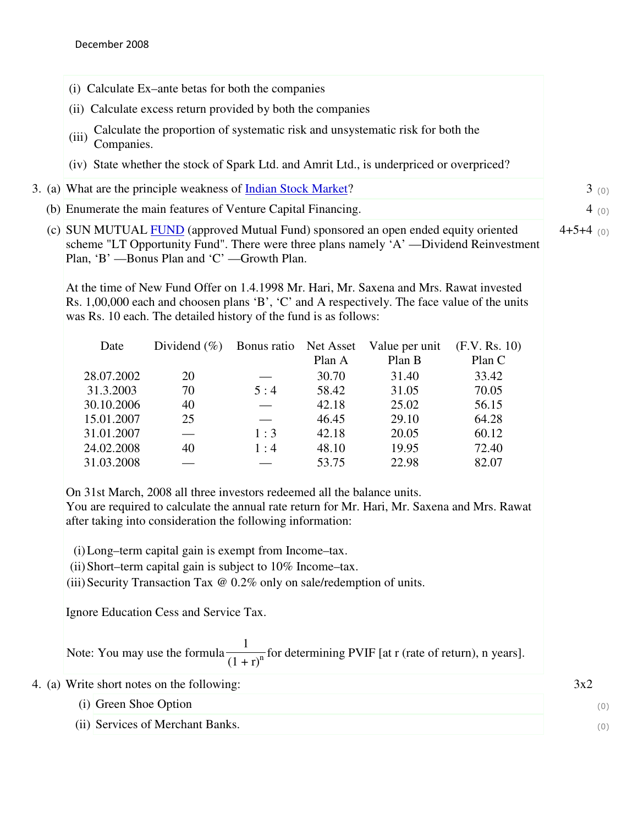|  |                                                                                                                                                                                                                                                                                                                                                                                                                                          | (i) Calculate Ex–ante betas for both the companies                                                                                    |             |                     |                                                                                                          |                                                                                              |      |
|--|------------------------------------------------------------------------------------------------------------------------------------------------------------------------------------------------------------------------------------------------------------------------------------------------------------------------------------------------------------------------------------------------------------------------------------------|---------------------------------------------------------------------------------------------------------------------------------------|-------------|---------------------|----------------------------------------------------------------------------------------------------------|----------------------------------------------------------------------------------------------|------|
|  |                                                                                                                                                                                                                                                                                                                                                                                                                                          | (ii) Calculate excess return provided by both the companies                                                                           |             |                     |                                                                                                          |                                                                                              |      |
|  | Calculate the proportion of systematic risk and unsystematic risk for both the<br>(iii)<br>Companies.                                                                                                                                                                                                                                                                                                                                    |                                                                                                                                       |             |                     |                                                                                                          |                                                                                              |      |
|  |                                                                                                                                                                                                                                                                                                                                                                                                                                          |                                                                                                                                       |             |                     | (iv) State whether the stock of Spark Ltd. and Amrit Ltd., is underpriced or overpriced?                 |                                                                                              |      |
|  | 3. (a) What are the principle weakness of Indian Stock Market?                                                                                                                                                                                                                                                                                                                                                                           |                                                                                                                                       |             |                     |                                                                                                          |                                                                                              | 3(0) |
|  | (b) Enumerate the main features of Venture Capital Financing.                                                                                                                                                                                                                                                                                                                                                                            |                                                                                                                                       |             |                     |                                                                                                          |                                                                                              | 4(0) |
|  | (c) SUN MUTUAL FUND (approved Mutual Fund) sponsored an open ended equity oriented<br>$4+5+4$ (0)<br>scheme "LT Opportunity Fund". There were three plans namely 'A' —Dividend Reinvestment<br>Plan, 'B' -- Bonus Plan and 'C' -- Growth Plan.<br>At the time of New Fund Offer on 1.4.1998 Mr. Hari, Mr. Saxena and Mrs. Rawat invested<br>Rs. 1,00,000 each and choosen plans 'B', 'C' and A respectively. The face value of the units |                                                                                                                                       |             |                     |                                                                                                          |                                                                                              |      |
|  |                                                                                                                                                                                                                                                                                                                                                                                                                                          | was Rs. 10 each. The detailed history of the fund is as follows:                                                                      |             |                     |                                                                                                          |                                                                                              |      |
|  | Date                                                                                                                                                                                                                                                                                                                                                                                                                                     | Dividend $(\% )$                                                                                                                      | Bonus ratio | Net Asset<br>Plan A | Value per unit<br>Plan B                                                                                 | (F.V. Rs. 10)<br>Plan C                                                                      |      |
|  | 28.07.2002                                                                                                                                                                                                                                                                                                                                                                                                                               | 20                                                                                                                                    |             | 30.70               | 31.40                                                                                                    | 33.42                                                                                        |      |
|  | 31.3.2003                                                                                                                                                                                                                                                                                                                                                                                                                                | 70                                                                                                                                    | 5:4         | 58.42               | 31.05                                                                                                    | 70.05                                                                                        |      |
|  | 30.10.2006                                                                                                                                                                                                                                                                                                                                                                                                                               | 40                                                                                                                                    |             | 42.18               | 25.02                                                                                                    | 56.15                                                                                        |      |
|  | 15.01.2007                                                                                                                                                                                                                                                                                                                                                                                                                               | 25                                                                                                                                    |             | 46.45               | 29.10                                                                                                    | 64.28                                                                                        |      |
|  | 31.01.2007                                                                                                                                                                                                                                                                                                                                                                                                                               |                                                                                                                                       | 1:3         | 42.18               | 20.05                                                                                                    | 60.12                                                                                        |      |
|  | 24.02.2008                                                                                                                                                                                                                                                                                                                                                                                                                               | 40                                                                                                                                    | 1:4         | 48.10               | 19.95                                                                                                    | 72.40                                                                                        |      |
|  | 31.03.2008                                                                                                                                                                                                                                                                                                                                                                                                                               |                                                                                                                                       |             | 53.75               | 22.98                                                                                                    | 82.07                                                                                        |      |
|  |                                                                                                                                                                                                                                                                                                                                                                                                                                          | On 31st March, 2008 all three investors redeemed all the balance units.<br>after taking into consideration the following information: |             |                     |                                                                                                          | You are required to calculate the annual rate return for Mr. Hari, Mr. Saxena and Mrs. Rawat |      |
|  |                                                                                                                                                                                                                                                                                                                                                                                                                                          | (i) Long-term capital gain is exempt from Income-tax.                                                                                 |             |                     |                                                                                                          |                                                                                              |      |
|  | (ii) Short-term capital gain is subject to 10% Income-tax.<br>(iii) Security Transaction Tax @ 0.2% only on sale/redemption of units.<br>Ignore Education Cess and Service Tax.                                                                                                                                                                                                                                                          |                                                                                                                                       |             |                     |                                                                                                          |                                                                                              |      |
|  |                                                                                                                                                                                                                                                                                                                                                                                                                                          |                                                                                                                                       |             |                     |                                                                                                          |                                                                                              |      |
|  |                                                                                                                                                                                                                                                                                                                                                                                                                                          |                                                                                                                                       |             |                     | Note: You may use the formula $\frac{1}{(1+r)^n}$ for determining PVIF [at r (rate of return), n years]. |                                                                                              |      |
|  | 4. (a) Write short notes on the following:                                                                                                                                                                                                                                                                                                                                                                                               |                                                                                                                                       |             |                     |                                                                                                          |                                                                                              | 3x2  |
|  | (i) Green Shoe Option                                                                                                                                                                                                                                                                                                                                                                                                                    |                                                                                                                                       |             |                     |                                                                                                          |                                                                                              | (0)  |
|  |                                                                                                                                                                                                                                                                                                                                                                                                                                          |                                                                                                                                       |             |                     |                                                                                                          |                                                                                              |      |

(ii) Services of Merchant Banks. (0)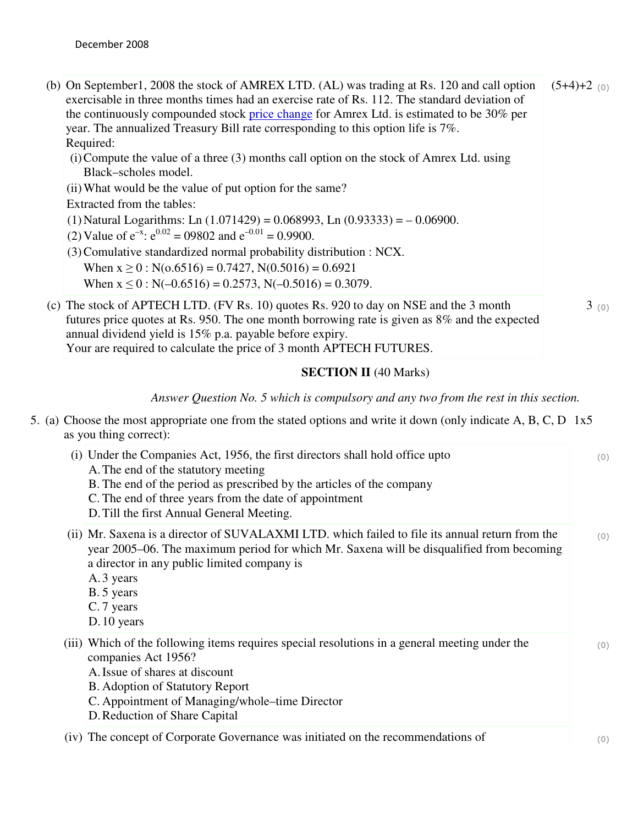- (b) On September1, 2008 the stock of AMREX LTD. (AL) was trading at Rs. 120 and call option exercisable in three months times had an exercise rate of Rs. 112. The standard deviation of the continuously compounded stock price change for Amrex Ltd. is estimated to be 30% per year. The annualized Treasury Bill rate corresponding to this option life is 7%. Required:  $(5+4)+2$  (0)
	- (i)Compute the value of a three (3) months call option on the stock of Amrex Ltd. using Black–scholes model.
	- (ii)What would be the value of put option for the same?

Extracted from the tables:

(1) Natural Logarithms: Ln  $(1.071429) = 0.068993$ , Ln  $(0.93333) = -0.06900$ .

- (2) Value of  $e^{-x}$ :  $e^{0.02} = 09802$  and  $e^{-0.01} = 0.9900$ .
- (3)Comulative standardized normal probability distribution : NCX.

When  $x \ge 0$ : N(0.6516) = 0.7427, N(0.5016) = 0.6921

When  $x \le 0$ : N(-0.6516) = 0.2573, N(-0.5016) = 0.3079.

(c) The stock of APTECH LTD. (FV Rs. 10) quotes Rs. 920 to day on NSE and the 3 month futures price quotes at Rs. 950. The one month borrowing rate is given as 8% and the expected annual dividend yield is 15% p.a. payable before expiry. Your are required to calculate the price of 3 month APTECH FUTURES.

## **SECTION II** (40 Marks)

 $3(0)$ 

*Answer Question No. 5 which is compulsory and any two from the rest in this section.*

5. (a) Choose the most appropriate one from the stated options and write it down (only indicate A, B, C, D 1x5 as you thing correct):

| (i) Under the Companies Act, 1956, the first directors shall hold office upto<br>A. The end of the statutory meeting<br>B. The end of the period as prescribed by the articles of the company<br>C. The end of three years from the date of appointment<br>D. Till the first Annual General Meeting. |  |
|------------------------------------------------------------------------------------------------------------------------------------------------------------------------------------------------------------------------------------------------------------------------------------------------------|--|
| (ii) Mr. Saxena is a director of SUVALAXMI LTD, which failed to file its annual return from the<br>year 2005–06. The maximum period for which Mr. Saxena will be disqualified from becoming<br>a director in any public limited company is<br>A. 3 years<br>B. 5 years<br>C. 7 years<br>D. 10 years  |  |
| (iii) Which of the following items requires special resolutions in a general meeting under the<br>companies Act 1956?<br>A. Issue of shares at discount<br>B. Adoption of Statutory Report<br>C. Appointment of Managing/whole–time Director<br>D. Reduction of Share Capital                        |  |
| (iv) The concept of Corporate Governance was initiated on the recommendations of                                                                                                                                                                                                                     |  |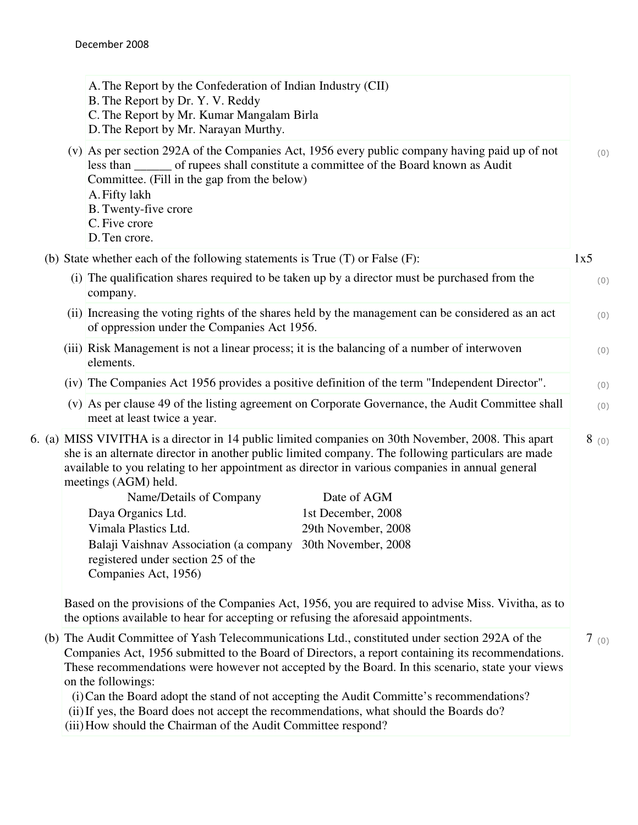|  | A. The Report by the Confederation of Indian Industry (CII)<br>B. The Report by Dr. Y. V. Reddy<br>C. The Report by Mr. Kumar Mangalam Birla<br>D. The Report by Mr. Narayan Murthy.                                                                                                                                                 |      |  |  |  |
|--|--------------------------------------------------------------------------------------------------------------------------------------------------------------------------------------------------------------------------------------------------------------------------------------------------------------------------------------|------|--|--|--|
|  | (v) As per section 292A of the Companies Act, 1956 every public company having paid up of not<br>less than _______ of rupees shall constitute a committee of the Board known as Audit<br>Committee. (Fill in the gap from the below)<br>A. Fifty lakh<br>B. Twenty-five crore<br>C. Five crore<br>D. Ten crore.                      |      |  |  |  |
|  | (b) State whether each of the following statements is True $(T)$ or False $(F)$ :                                                                                                                                                                                                                                                    | 1x5  |  |  |  |
|  | (i) The qualification shares required to be taken up by a director must be purchased from the<br>company.                                                                                                                                                                                                                            |      |  |  |  |
|  | (ii) Increasing the voting rights of the shares held by the management can be considered as an act<br>of oppression under the Companies Act 1956.                                                                                                                                                                                    |      |  |  |  |
|  | (iii) Risk Management is not a linear process; it is the balancing of a number of interwoven<br>elements.                                                                                                                                                                                                                            |      |  |  |  |
|  | (iv) The Companies Act 1956 provides a positive definition of the term "Independent Director".                                                                                                                                                                                                                                       |      |  |  |  |
|  | (v) As per clause 49 of the listing agreement on Corporate Governance, the Audit Committee shall<br>meet at least twice a year.                                                                                                                                                                                                      |      |  |  |  |
|  | 6. (a) MISS VIVITHA is a director in 14 public limited companies on 30th November, 2008. This apart<br>she is an alternate director in another public limited company. The following particulars are made<br>available to you relating to her appointment as director in various companies in annual general<br>meetings (AGM) held. | 8(0) |  |  |  |
|  | Name/Details of Company<br>Date of AGM                                                                                                                                                                                                                                                                                               |      |  |  |  |
|  | Daya Organics Ltd.<br>1st December, 2008                                                                                                                                                                                                                                                                                             |      |  |  |  |
|  | Vimala Plastics Ltd.<br>29th November, 2008<br>Balaji Vaishnav Association (a company 30th November, 2008                                                                                                                                                                                                                            |      |  |  |  |
|  | registered under section 25 of the<br>Companies Act, 1956)                                                                                                                                                                                                                                                                           |      |  |  |  |
|  | Based on the provisions of the Companies Act, 1956, you are required to advise Miss. Vivitha, as to<br>the options available to hear for accepting or refusing the aforesaid appointments.                                                                                                                                           |      |  |  |  |
|  | (b) The Audit Committee of Yash Telecommunications Ltd., constituted under section 292A of the<br>Companies Act, 1956 submitted to the Board of Directors, a report containing its recommendations.<br>These recommendations were however not accepted by the Board. In this scenario, state your views                              | 7(0) |  |  |  |

(i) Can the Board adopt the stand of not accepting the Audit Committe's recommendations?

(ii) If yes, the Board does not accept the recommendations, what should the Boards do?

(iii) How should the Chairman of the Audit Committee respond?

on the followings: